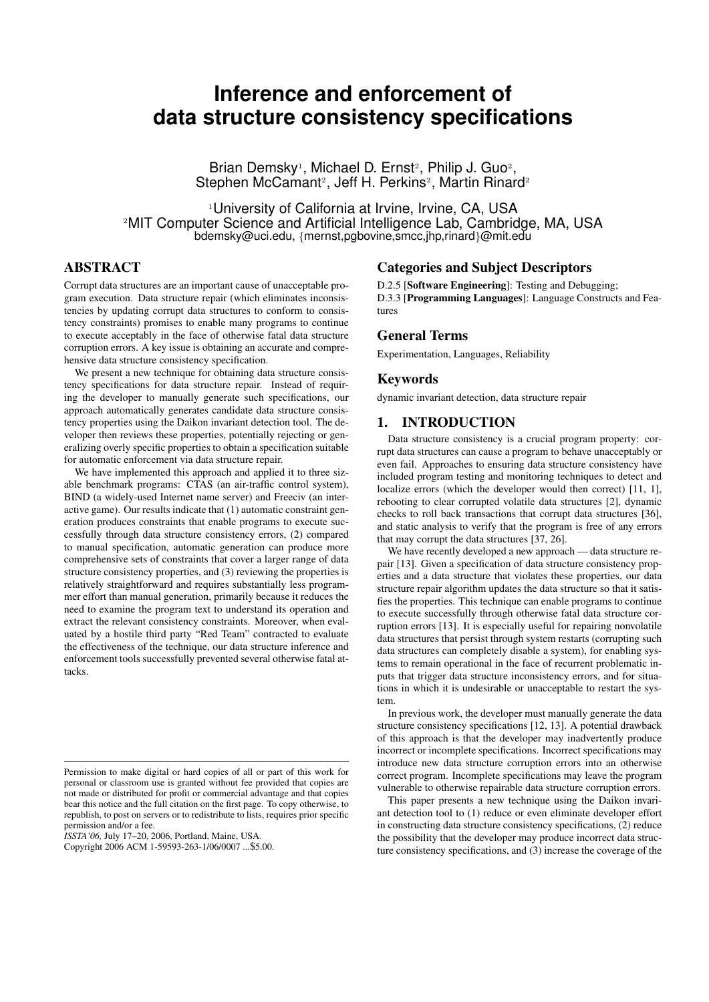# **Inference and enforcement of data structure consistency specifications**

Brian Demsky<sup>1</sup>, Michael D. Ernst<sup>2</sup>, Philip J. Guo<sup>2</sup>, Stephen McCamant<sup>2</sup>, Jeff H. Perkins<sup>2</sup>, Martin Rinard<sup>2</sup>

<sup>1</sup>University of California at Irvine, Irvine, CA, USA <sup>2</sup>MIT Computer Science and Artificial Intelligence Lab, Cambridge, MA, USA bdemsky@uci.edu, {mernst,pgbovine,smcc,jhp,rinard}@mit.edu

# ABSTRACT

Corrupt data structures are an important cause of unacceptable program execution. Data structure repair (which eliminates inconsistencies by updating corrupt data structures to conform to consistency constraints) promises to enable many programs to continue to execute acceptably in the face of otherwise fatal data structure corruption errors. A key issue is obtaining an accurate and comprehensive data structure consistency specification.

We present a new technique for obtaining data structure consistency specifications for data structure repair. Instead of requiring the developer to manually generate such specifications, our approach automatically generates candidate data structure consistency properties using the Daikon invariant detection tool. The developer then reviews these properties, potentially rejecting or generalizing overly specific properties to obtain a specification suitable for automatic enforcement via data structure repair.

We have implemented this approach and applied it to three sizable benchmark programs: CTAS (an air-traffic control system), BIND (a widely-used Internet name server) and Freeciv (an interactive game). Our results indicate that (1) automatic constraint generation produces constraints that enable programs to execute successfully through data structure consistency errors, (2) compared to manual specification, automatic generation can produce more comprehensive sets of constraints that cover a larger range of data structure consistency properties, and (3) reviewing the properties is relatively straightforward and requires substantially less programmer effort than manual generation, primarily because it reduces the need to examine the program text to understand its operation and extract the relevant consistency constraints. Moreover, when evaluated by a hostile third party "Red Team" contracted to evaluate the effectiveness of the technique, our data structure inference and enforcement tools successfully prevented several otherwise fatal attacks.

*ISSTA'06,* July 17–20, 2006, Portland, Maine, USA.

Copyright 2006 ACM 1-59593-263-1/06/0007 ...\$5.00.

## Categories and Subject Descriptors

D.2.5 [Software Engineering]: Testing and Debugging; D.3.3 [Programming Languages]: Language Constructs and Features

## General Terms

Experimentation, Languages, Reliability

#### Keywords

dynamic invariant detection, data structure repair

## 1. INTRODUCTION

Data structure consistency is a crucial program property: corrupt data structures can cause a program to behave unacceptably or even fail. Approaches to ensuring data structure consistency have included program testing and monitoring techniques to detect and localize errors (which the developer would then correct) [11, 1], rebooting to clear corrupted volatile data structures [2], dynamic checks to roll back transactions that corrupt data structures [36], and static analysis to verify that the program is free of any errors that may corrupt the data structures [37, 26].

We have recently developed a new approach — data structure repair [13]. Given a specification of data structure consistency properties and a data structure that violates these properties, our data structure repair algorithm updates the data structure so that it satisfies the properties. This technique can enable programs to continue to execute successfully through otherwise fatal data structure corruption errors [13]. It is especially useful for repairing nonvolatile data structures that persist through system restarts (corrupting such data structures can completely disable a system), for enabling systems to remain operational in the face of recurrent problematic inputs that trigger data structure inconsistency errors, and for situations in which it is undesirable or unacceptable to restart the system.

In previous work, the developer must manually generate the data structure consistency specifications [12, 13]. A potential drawback of this approach is that the developer may inadvertently produce incorrect or incomplete specifications. Incorrect specifications may introduce new data structure corruption errors into an otherwise correct program. Incomplete specifications may leave the program vulnerable to otherwise repairable data structure corruption errors.

This paper presents a new technique using the Daikon invariant detection tool to (1) reduce or even eliminate developer effort in constructing data structure consistency specifications, (2) reduce the possibility that the developer may produce incorrect data structure consistency specifications, and (3) increase the coverage of the

Permission to make digital or hard copies of all or part of this work for personal or classroom use is granted without fee provided that copies are not made or distributed for profit or commercial advantage and that copies bear this notice and the full citation on the first page. To copy otherwise, to republish, to post on servers or to redistribute to lists, requires prior specific permission and/or a fee.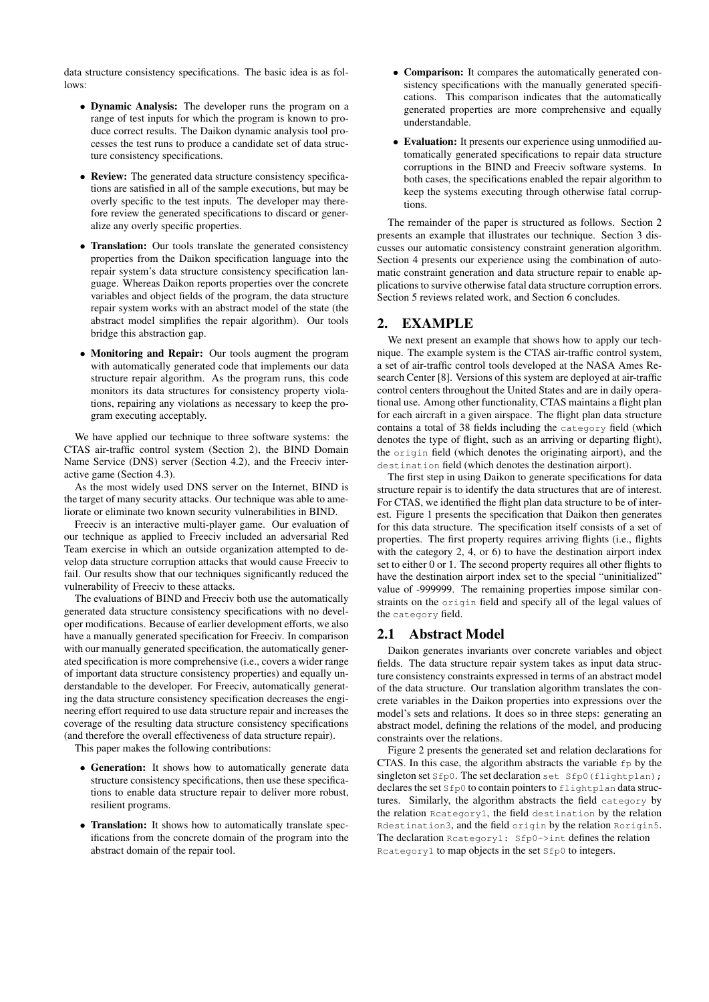data structure consistency specifications. The basic idea is as follows:

- Dynamic Analysis: The developer runs the program on a range of test inputs for which the program is known to produce correct results. The Daikon dynamic analysis tool processes the test runs to produce a candidate set of data structure consistency specifications.
- Review: The generated data structure consistency specifications are satisfied in all of the sample executions, but may be overly specific to the test inputs. The developer may therefore review the generated specifications to discard or generalize any overly specific properties.
- Translation: Our tools translate the generated consistency properties from the Daikon specification language into the repair system's data structure consistency specification language. Whereas Daikon reports properties over the concrete variables and object fields of the program, the data structure repair system works with an abstract model of the state (the abstract model simplifies the repair algorithm). Our tools bridge this abstraction gap.
- Monitoring and Repair: Our tools augment the program with automatically generated code that implements our data structure repair algorithm. As the program runs, this code monitors its data structures for consistency property violations, repairing any violations as necessary to keep the program executing acceptably.

We have applied our technique to three software systems: the CTAS air-traffic control system (Section 2), the BIND Domain Name Service (DNS) server (Section 4.2), and the Freeciv interactive game (Section 4.3).

As the most widely used DNS server on the Internet, BIND is the target of many security attacks. Our technique was able to ameliorate or eliminate two known security vulnerabilities in BIND.

Freeciv is an interactive multi-player game. Our evaluation of our technique as applied to Freeciv included an adversarial Red Team exercise in which an outside organization attempted to develop data structure corruption attacks that would cause Freeciv to fail. Our results show that our techniques significantly reduced the vulnerability of Freeciv to these attacks.

The evaluations of BIND and Freeciv both use the automatically generated data structure consistency specifications with no developer modifications. Because of earlier development efforts, we also have a manually generated specification for Freeciv. In comparison with our manually generated specification, the automatically generated specification is more comprehensive (i.e., covers a wider range of important data structure consistency properties) and equally understandable to the developer. For Freeciv, automatically generating the data structure consistency specification decreases the engineering effort required to use data structure repair and increases the coverage of the resulting data structure consistency specifications (and therefore the overall effectiveness of data structure repair).

This paper makes the following contributions:

- Generation: It shows how to automatically generate data structure consistency specifications, then use these specifications to enable data structure repair to deliver more robust, resilient programs.
- Translation: It shows how to automatically translate specifications from the concrete domain of the program into the abstract domain of the repair tool.
- Comparison: It compares the automatically generated consistency specifications with the manually generated specifications. This comparison indicates that the automatically generated properties are more comprehensive and equally understandable.
- Evaluation: It presents our experience using unmodified automatically generated specifications to repair data structure corruptions in the BIND and Freeciv software systems. In both cases, the specifications enabled the repair algorithm to keep the systems executing through otherwise fatal corruptions.

The remainder of the paper is structured as follows. Section 2 presents an example that illustrates our technique. Section 3 discusses our automatic consistency constraint generation algorithm. Section 4 presents our experience using the combination of automatic constraint generation and data structure repair to enable applications to survive otherwise fatal data structure corruption errors. Section 5 reviews related work, and Section 6 concludes.

## 2. EXAMPLE

We next present an example that shows how to apply our technique. The example system is the CTAS air-traffic control system, a set of air-traffic control tools developed at the NASA Ames Research Center [8]. Versions of this system are deployed at air-traffic control centers throughout the United States and are in daily operational use. Among other functionality, CTAS maintains a flight plan for each aircraft in a given airspace. The flight plan data structure contains a total of 38 fields including the category field (which denotes the type of flight, such as an arriving or departing flight), the origin field (which denotes the originating airport), and the destination field (which denotes the destination airport).

The first step in using Daikon to generate specifications for data structure repair is to identify the data structures that are of interest. For CTAS, we identified the flight plan data structure to be of interest. Figure 1 presents the specification that Daikon then generates for this data structure. The specification itself consists of a set of properties. The first property requires arriving flights (i.e., flights with the category 2, 4, or 6) to have the destination airport index set to either 0 or 1. The second property requires all other flights to have the destination airport index set to the special "uninitialized" value of -999999. The remaining properties impose similar constraints on the origin field and specify all of the legal values of the category field.

## 2.1 Abstract Model

Daikon generates invariants over concrete variables and object fields. The data structure repair system takes as input data structure consistency constraints expressed in terms of an abstract model of the data structure. Our translation algorithm translates the concrete variables in the Daikon properties into expressions over the model's sets and relations. It does so in three steps: generating an abstract model, defining the relations of the model, and producing constraints over the relations.

Figure 2 presents the generated set and relation declarations for CTAS. In this case, the algorithm abstracts the variable  $f<sub>p</sub>$  by the singleton set Sfp0. The set declaration set Sfp0(flightplan); declares the set Sfp0 to contain pointers to flightplan data structures. Similarly, the algorithm abstracts the field category by the relation Rcategory1, the field destination by the relation Rdestination3, and the field origin by the relation Rorigin5. The declaration Rcategory1: Sfp0->int defines the relation Rcategory1 to map objects in the set Sfp0 to integers.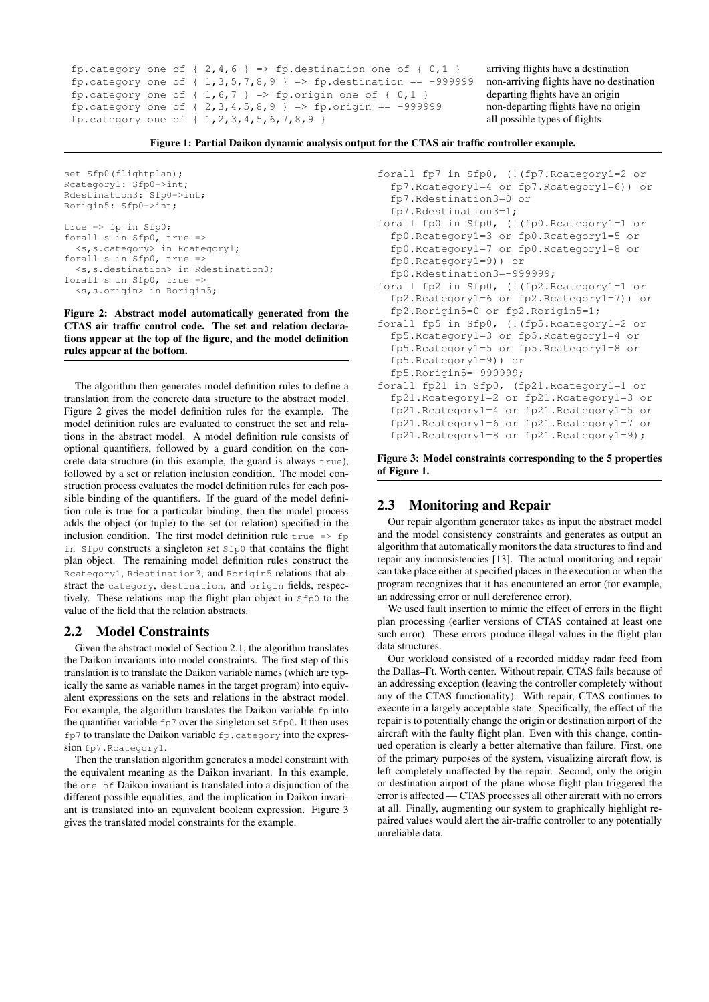```
fp.category one of \{2,4,6\} => fp.destination one of \{0,1\} arriving flights have a destination fp.category one of \{1,3,5,7,8,9\} => fp.destination == -999999 non-arriving flights have no destination
fp.category one of { 1,3,5,7,8,9 } => fp.destination == -999999
fp.category one of \{1, 6, 7\} => fp.origin one of \{0, 1\} departing flights have an origin
fp.category one of \{2,3,4,5,8,9\} => fp.origin == -999999 non-departing flights have no origin
fp.category one of \{1,2,3,4,5,6,7,8,9\} all possible types of flights
```
Figure 1: Partial Daikon dynamic analysis output for the CTAS air traffic controller example.

```
set Sfp0(flightplan);
Rcategory1: Sfp0->int;
Rdestination3: Sfp0->int;
Rorigin5: Sfp0->int;
true => fp in Sfp0;
forall s in Sfp0, true =>
  <s,s.category> in Rcategory1;
forall s in Sfp0, true =>
  <s,s.destination> in Rdestination3;
forall s in Sfp0, true =>
  <s,s.origin> in Rorigin5;
```
Figure 2: Abstract model automatically generated from the CTAS air traffic control code. The set and relation declarations appear at the top of the figure, and the model definition rules appear at the bottom.

The algorithm then generates model definition rules to define a translation from the concrete data structure to the abstract model. Figure 2 gives the model definition rules for the example. The model definition rules are evaluated to construct the set and relations in the abstract model. A model definition rule consists of optional quantifiers, followed by a guard condition on the concrete data structure (in this example, the guard is always true), followed by a set or relation inclusion condition. The model construction process evaluates the model definition rules for each possible binding of the quantifiers. If the guard of the model definition rule is true for a particular binding, then the model process adds the object (or tuple) to the set (or relation) specified in the inclusion condition. The first model definition rule  $true$  => fp in Sfp0 constructs a singleton set Sfp0 that contains the flight plan object. The remaining model definition rules construct the Rcategory1, Rdestination3, and Rorigin5 relations that abstract the category, destination, and origin fields, respectively. These relations map the flight plan object in  $Sf_{\text{D}}$  to the value of the field that the relation abstracts.

#### 2.2 Model Constraints

Given the abstract model of Section 2.1, the algorithm translates the Daikon invariants into model constraints. The first step of this translation is to translate the Daikon variable names (which are typically the same as variable names in the target program) into equivalent expressions on the sets and relations in the abstract model. For example, the algorithm translates the Daikon variable fp into the quantifier variable  $fp7$  over the singleton set  $sfp0$ . It then uses fp7 to translate the Daikon variable fp.category into the expression fp7.Rcategory1.

Then the translation algorithm generates a model constraint with the equivalent meaning as the Daikon invariant. In this example, the one of Daikon invariant is translated into a disjunction of the different possible equalities, and the implication in Daikon invariant is translated into an equivalent boolean expression. Figure 3 gives the translated model constraints for the example.

```
forall fp7 in Sfp0, (!(fp7.Rcategory1=2 or
  fp7.Rcategory1=4 or fp7.Rcategory1=6)) or
  fp7.Rdestination3=0 or
  fp7.Rdestination3=1;
forall fp0 in Sfp0, (!(fp0.Rcategory1=1 or
  fp0.Rcategory1=3 or fp0.Rcategory1=5 or
  fp0.Rcategory1=7 or fp0.Rcategory1=8 or
  fp0.Rcategory1=9)) or
  fp0.Rdestination3=-999999;
forall fp2 in Sfp0, (!(fp2.Rcategory1=1 or
  fp2.Rcategory1=6 or fp2.Rcategory1=7)) or
  fp2.Rorigin5=0 or fp2.Rorigin5=1;
forall fp5 in Sfp0, (!(fp5.Rcategory1=2 or
  fp5.Rcategory1=3 or fp5.Rcategory1=4 or
  fp5.Rcategory1=5 or fp5.Rcategory1=8 or
  fp5.Rcategory1=9)) or
  fp5.Rorigin5=-999999;
forall fp21 in Sfp0, (fp21.Rcategory1=1 or
  fp21.Rcategory1=2 or fp21.Rcategory1=3 or
  fp21.Rcategory1=4 or fp21.Rcategory1=5 or
  fp21.Rcategory1=6 or fp21.Rcategory1=7 or
  fp21.Rcategory1=8 or fp21.Rcategory1=9);
```
Figure 3: Model constraints corresponding to the 5 properties of Figure 1.

## 2.3 Monitoring and Repair

Our repair algorithm generator takes as input the abstract model and the model consistency constraints and generates as output an algorithm that automatically monitors the data structures to find and repair any inconsistencies [13]. The actual monitoring and repair can take place either at specified places in the execution or when the program recognizes that it has encountered an error (for example, an addressing error or null dereference error).

We used fault insertion to mimic the effect of errors in the flight plan processing (earlier versions of CTAS contained at least one such error). These errors produce illegal values in the flight plan data structures.

Our workload consisted of a recorded midday radar feed from the Dallas–Ft. Worth center. Without repair, CTAS fails because of an addressing exception (leaving the controller completely without any of the CTAS functionality). With repair, CTAS continues to execute in a largely acceptable state. Specifically, the effect of the repair is to potentially change the origin or destination airport of the aircraft with the faulty flight plan. Even with this change, continued operation is clearly a better alternative than failure. First, one of the primary purposes of the system, visualizing aircraft flow, is left completely unaffected by the repair. Second, only the origin or destination airport of the plane whose flight plan triggered the error is affected — CTAS processes all other aircraft with no errors at all. Finally, augmenting our system to graphically highlight repaired values would alert the air-traffic controller to any potentially unreliable data.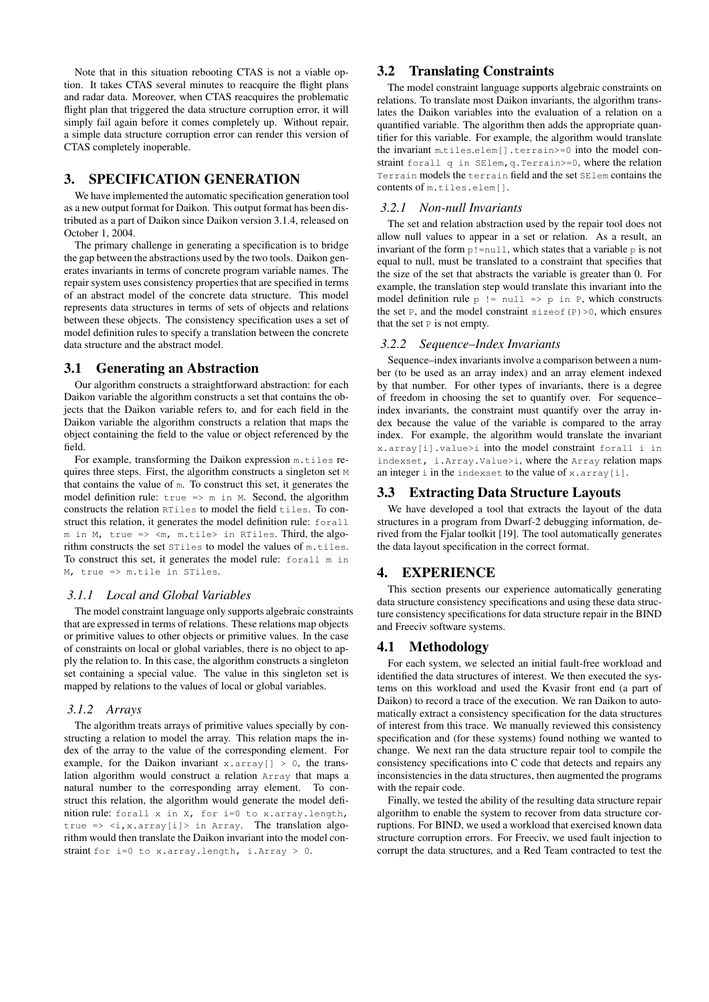Note that in this situation rebooting CTAS is not a viable option. It takes CTAS several minutes to reacquire the flight plans and radar data. Moreover, when CTAS reacquires the problematic flight plan that triggered the data structure corruption error, it will simply fail again before it comes completely up. Without repair, a simple data structure corruption error can render this version of CTAS completely inoperable.

## 3. SPECIFICATION GENERATION

We have implemented the automatic specification generation tool as a new output format for Daikon. This output format has been distributed as a part of Daikon since Daikon version 3.1.4, released on October 1, 2004.

The primary challenge in generating a specification is to bridge the gap between the abstractions used by the two tools. Daikon generates invariants in terms of concrete program variable names. The repair system uses consistency properties that are specified in terms of an abstract model of the concrete data structure. This model represents data structures in terms of sets of objects and relations between these objects. The consistency specification uses a set of model definition rules to specify a translation between the concrete data structure and the abstract model.

## 3.1 Generating an Abstraction

Our algorithm constructs a straightforward abstraction: for each Daikon variable the algorithm constructs a set that contains the objects that the Daikon variable refers to, and for each field in the Daikon variable the algorithm constructs a relation that maps the object containing the field to the value or object referenced by the field.

For example, transforming the Daikon expression m.tiles requires three steps. First, the algorithm constructs a singleton set M that contains the value of m. To construct this set, it generates the model definition rule:  $true \Rightarrow m$  in M. Second, the algorithm constructs the relation RTiles to model the field tiles. To construct this relation, it generates the model definition rule: forall m in M, true =>  $\leq m$ , m.tile> in RTiles. Third, the algorithm constructs the set STiles to model the values of m.tiles. To construct this set, it generates the model rule: forall m in M, true => m.tile in STiles.

#### *3.1.1 Local and Global Variables*

The model constraint language only supports algebraic constraints that are expressed in terms of relations. These relations map objects or primitive values to other objects or primitive values. In the case of constraints on local or global variables, there is no object to apply the relation to. In this case, the algorithm constructs a singleton set containing a special value. The value in this singleton set is mapped by relations to the values of local or global variables.

#### *3.1.2 Arrays*

The algorithm treats arrays of primitive values specially by constructing a relation to model the array. This relation maps the index of the array to the value of the corresponding element. For example, for the Daikon invariant  $x \cdot \text{array}[] > 0$ , the translation algorithm would construct a relation Array that maps a natural number to the corresponding array element. To construct this relation, the algorithm would generate the model definition rule: forall x in X, for i=0 to x.array.length, true =>  $\langle i, x, \text{array}[i] \rangle$  in Array. The translation algorithm would then translate the Daikon invariant into the model constraint for  $i=0$  to x.array.length, i.Array > 0.

# 3.2 Translating Constraints

The model constraint language supports algebraic constraints on relations. To translate most Daikon invariants, the algorithm translates the Daikon variables into the evaluation of a relation on a quantified variable. The algorithm then adds the appropriate quantifier for this variable. For example, the algorithm would translate the invariant m.tiles.elem[].terrain>=0 into the model constraint forall q in SElem, q. Terrain>=0, where the relation Terrain models the terrain field and the set SElem contains the contents of m.tiles.elem[].

#### *3.2.1 Non-null Invariants*

The set and relation abstraction used by the repair tool does not allow null values to appear in a set or relation. As a result, an invariant of the form  $p! = null$ , which states that a variable p is not equal to null, must be translated to a constraint that specifies that the size of the set that abstracts the variable is greater than 0. For example, the translation step would translate this invariant into the model definition rule  $p := null \implies p$  in P, which constructs the set P, and the model constraint  $sizeof(P)>0$ , which ensures that the set  $P$  is not empty.

#### *3.2.2 Sequence–Index Invariants*

Sequence–index invariants involve a comparison between a number (to be used as an array index) and an array element indexed by that number. For other types of invariants, there is a degree of freedom in choosing the set to quantify over. For sequence– index invariants, the constraint must quantify over the array index because the value of the variable is compared to the array index. For example, the algorithm would translate the invariant x.array[i].value>i into the model constraint forall i in indexset, i.Array.Value>i, where the Array relation maps an integer i in the indexset to the value of  $x$ .  $array[i]$ .

## 3.3 Extracting Data Structure Layouts

We have developed a tool that extracts the layout of the data structures in a program from Dwarf-2 debugging information, derived from the Fjalar toolkit [19]. The tool automatically generates the data layout specification in the correct format.

## 4. EXPERIENCE

This section presents our experience automatically generating data structure consistency specifications and using these data structure consistency specifications for data structure repair in the BIND and Freeciv software systems.

#### 4.1 Methodology

For each system, we selected an initial fault-free workload and identified the data structures of interest. We then executed the systems on this workload and used the Kvasir front end (a part of Daikon) to record a trace of the execution. We ran Daikon to automatically extract a consistency specification for the data structures of interest from this trace. We manually reviewed this consistency specification and (for these systems) found nothing we wanted to change. We next ran the data structure repair tool to compile the consistency specifications into C code that detects and repairs any inconsistencies in the data structures, then augmented the programs with the repair code.

Finally, we tested the ability of the resulting data structure repair algorithm to enable the system to recover from data structure corruptions. For BIND, we used a workload that exercised known data structure corruption errors. For Freeciv, we used fault injection to corrupt the data structures, and a Red Team contracted to test the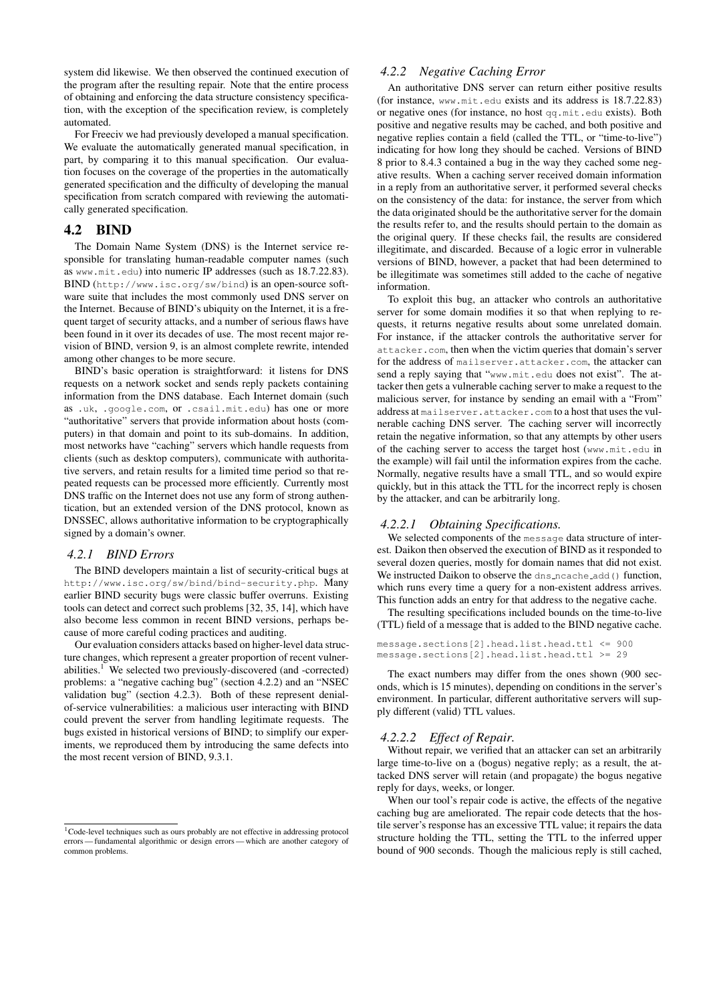system did likewise. We then observed the continued execution of the program after the resulting repair. Note that the entire process of obtaining and enforcing the data structure consistency specification, with the exception of the specification review, is completely automated.

For Freeciv we had previously developed a manual specification. We evaluate the automatically generated manual specification, in part, by comparing it to this manual specification. Our evaluation focuses on the coverage of the properties in the automatically generated specification and the difficulty of developing the manual specification from scratch compared with reviewing the automatically generated specification.

## 4.2 BIND

The Domain Name System (DNS) is the Internet service responsible for translating human-readable computer names (such as www.mit.edu) into numeric IP addresses (such as 18.7.22.83). BIND (http://www.isc.org/sw/bind) is an open-source software suite that includes the most commonly used DNS server on the Internet. Because of BIND's ubiquity on the Internet, it is a frequent target of security attacks, and a number of serious flaws have been found in it over its decades of use. The most recent major revision of BIND, version 9, is an almost complete rewrite, intended among other changes to be more secure.

BIND's basic operation is straightforward: it listens for DNS requests on a network socket and sends reply packets containing information from the DNS database. Each Internet domain (such as .uk, .google.com, or .csail.mit.edu) has one or more "authoritative" servers that provide information about hosts (computers) in that domain and point to its sub-domains. In addition, most networks have "caching" servers which handle requests from clients (such as desktop computers), communicate with authoritative servers, and retain results for a limited time period so that repeated requests can be processed more efficiently. Currently most DNS traffic on the Internet does not use any form of strong authentication, but an extended version of the DNS protocol, known as DNSSEC, allows authoritative information to be cryptographically signed by a domain's owner.

#### *4.2.1 BIND Errors*

The BIND developers maintain a list of security-critical bugs at http://www.isc.org/sw/bind/bind-security.php. Many earlier BIND security bugs were classic buffer overruns. Existing tools can detect and correct such problems [32, 35, 14], which have also become less common in recent BIND versions, perhaps because of more careful coding practices and auditing.

Our evaluation considers attacks based on higher-level data structure changes, which represent a greater proportion of recent vulnerabilities.<sup>1</sup> We selected two previously-discovered (and -corrected) problems: a "negative caching bug" (section 4.2.2) and an "NSEC validation bug" (section 4.2.3). Both of these represent denialof-service vulnerabilities: a malicious user interacting with BIND could prevent the server from handling legitimate requests. The bugs existed in historical versions of BIND; to simplify our experiments, we reproduced them by introducing the same defects into the most recent version of BIND, 9.3.1.

#### *4.2.2 Negative Caching Error*

An authoritative DNS server can return either positive results (for instance, www.mit.edu exists and its address is 18.7.22.83) or negative ones (for instance, no host qq.mit.edu exists). Both positive and negative results may be cached, and both positive and negative replies contain a field (called the TTL, or "time-to-live") indicating for how long they should be cached. Versions of BIND 8 prior to 8.4.3 contained a bug in the way they cached some negative results. When a caching server received domain information in a reply from an authoritative server, it performed several checks on the consistency of the data: for instance, the server from which the data originated should be the authoritative server for the domain the results refer to, and the results should pertain to the domain as the original query. If these checks fail, the results are considered illegitimate, and discarded. Because of a logic error in vulnerable versions of BIND, however, a packet that had been determined to be illegitimate was sometimes still added to the cache of negative information.

To exploit this bug, an attacker who controls an authoritative server for some domain modifies it so that when replying to requests, it returns negative results about some unrelated domain. For instance, if the attacker controls the authoritative server for attacker.com, then when the victim queries that domain's server for the address of mailserver.attacker.com, the attacker can send a reply saying that "www.mit.edu does not exist". The attacker then gets a vulnerable caching server to make a request to the malicious server, for instance by sending an email with a "From" address at mailserver.attacker.com to a host that uses the vulnerable caching DNS server. The caching server will incorrectly retain the negative information, so that any attempts by other users of the caching server to access the target host (www.mit.edu in the example) will fail until the information expires from the cache. Normally, negative results have a small TTL, and so would expire quickly, but in this attack the TTL for the incorrect reply is chosen by the attacker, and can be arbitrarily long.

#### *4.2.2.1 Obtaining Specifications.*

We selected components of the message data structure of interest. Daikon then observed the execution of BIND as it responded to several dozen queries, mostly for domain names that did not exist. We instructed Daikon to observe the dns\_ncache\_add() function, which runs every time a query for a non-existent address arrives. This function adds an entry for that address to the negative cache.

The resulting specifications included bounds on the time-to-live (TTL) field of a message that is added to the BIND negative cache.

message.sections[2].head.list.head.ttl <= 900 message.sections[2].head.list.head.ttl >= 29

The exact numbers may differ from the ones shown (900 seconds, which is 15 minutes), depending on conditions in the server's environment. In particular, different authoritative servers will supply different (valid) TTL values.

#### *4.2.2.2 Effect of Repair.*

Without repair, we verified that an attacker can set an arbitrarily large time-to-live on a (bogus) negative reply; as a result, the attacked DNS server will retain (and propagate) the bogus negative reply for days, weeks, or longer.

When our tool's repair code is active, the effects of the negative caching bug are ameliorated. The repair code detects that the hostile server's response has an excessive TTL value; it repairs the data structure holding the TTL, setting the TTL to the inferred upper bound of 900 seconds. Though the malicious reply is still cached,

 $1$ Code-level techniques such as ours probably are not effective in addressing protocol errors — fundamental algorithmic or design errors — which are another category of common problems.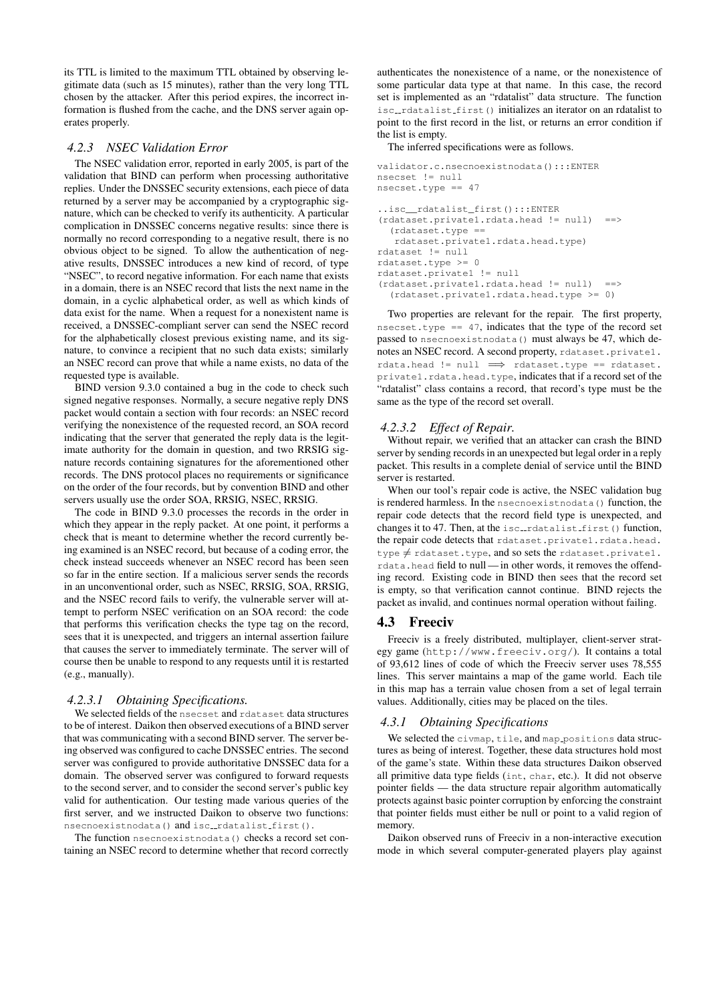its TTL is limited to the maximum TTL obtained by observing legitimate data (such as 15 minutes), rather than the very long TTL chosen by the attacker. After this period expires, the incorrect information is flushed from the cache, and the DNS server again operates properly.

#### *4.2.3 NSEC Validation Error*

The NSEC validation error, reported in early 2005, is part of the validation that BIND can perform when processing authoritative replies. Under the DNSSEC security extensions, each piece of data returned by a server may be accompanied by a cryptographic signature, which can be checked to verify its authenticity. A particular complication in DNSSEC concerns negative results: since there is normally no record corresponding to a negative result, there is no obvious object to be signed. To allow the authentication of negative results, DNSSEC introduces a new kind of record, of type "NSEC", to record negative information. For each name that exists in a domain, there is an NSEC record that lists the next name in the domain, in a cyclic alphabetical order, as well as which kinds of data exist for the name. When a request for a nonexistent name is received, a DNSSEC-compliant server can send the NSEC record for the alphabetically closest previous existing name, and its signature, to convince a recipient that no such data exists; similarly an NSEC record can prove that while a name exists, no data of the requested type is available.

BIND version 9.3.0 contained a bug in the code to check such signed negative responses. Normally, a secure negative reply DNS packet would contain a section with four records: an NSEC record verifying the nonexistence of the requested record, an SOA record indicating that the server that generated the reply data is the legitimate authority for the domain in question, and two RRSIG signature records containing signatures for the aforementioned other records. The DNS protocol places no requirements or significance on the order of the four records, but by convention BIND and other servers usually use the order SOA, RRSIG, NSEC, RRSIG.

The code in BIND 9.3.0 processes the records in the order in which they appear in the reply packet. At one point, it performs a check that is meant to determine whether the record currently being examined is an NSEC record, but because of a coding error, the check instead succeeds whenever an NSEC record has been seen so far in the entire section. If a malicious server sends the records in an unconventional order, such as NSEC, RRSIG, SOA, RRSIG, and the NSEC record fails to verify, the vulnerable server will attempt to perform NSEC verification on an SOA record: the code that performs this verification checks the type tag on the record, sees that it is unexpected, and triggers an internal assertion failure that causes the server to immediately terminate. The server will of course then be unable to respond to any requests until it is restarted (e.g., manually).

#### *4.2.3.1 Obtaining Specifications.*

We selected fields of the nsecset and rdataset data structures to be of interest. Daikon then observed executions of a BIND server that was communicating with a second BIND server. The server being observed was configured to cache DNSSEC entries. The second server was configured to provide authoritative DNSSEC data for a domain. The observed server was configured to forward requests to the second server, and to consider the second server's public key valid for authentication. Our testing made various queries of the first server, and we instructed Daikon to observe two functions: nsecnoexistnodata() and isc\_rdatalist\_first().

The function nsecnoexistnodata() checks a record set containing an NSEC record to determine whether that record correctly

authenticates the nonexistence of a name, or the nonexistence of some particular data type at that name. In this case, the record set is implemented as an "rdatalist" data structure. The function isc\_rdatalist\_first() initializes an iterator on an rdatalist to point to the first record in the list, or returns an error condition if the list is empty.

The inferred specifications were as follows.

```
validator.c.nsecnoexistnodata():::ENTER
nsecset != null
nsecset.type == 47
 .isc__rdatalist_first():::ENTER
(rdataset.private1.rdata.head != null) ==>
  (rdataset.type ==
   rdataset.private1.rdata.head.type)
rdataset != null
rdataset.type >= 0
rdataset.private1 != null
(rdataset.private1.rdata.head != null) ==>
  (rdataset.private1.rdata.head.type >= 0)
```
Two properties are relevant for the repair. The first property, nsecset.type  $== 47$ , indicates that the type of the record set passed to nsecnoexistnodata() must always be 47, which denotes an NSEC record. A second property, rdataset.private1. rdata.head != null  $\implies$  rdataset.type == rdataset. private1.rdata.head.type, indicates that if a record set of the "rdatalist" class contains a record, that record's type must be the same as the type of the record set overall.

## *4.2.3.2 Effect of Repair.*

Without repair, we verified that an attacker can crash the BIND server by sending records in an unexpected but legal order in a reply packet. This results in a complete denial of service until the BIND server is restarted.

When our tool's repair code is active, the NSEC validation bug is rendered harmless. In the nsecnoexistnodata() function, the repair code detects that the record field type is unexpected, and changes it to 47. Then, at the  $isc\_r$ datalist first() function, the repair code detects that rdataset.private1.rdata.head.  $type \neq$  rdataset.type, and so sets the rdataset.privatel. rdata.head field to null — in other words, it removes the offending record. Existing code in BIND then sees that the record set is empty, so that verification cannot continue. BIND rejects the packet as invalid, and continues normal operation without failing.

#### 4.3 Freeciv

Freeciv is a freely distributed, multiplayer, client-server strategy game (http://www.freeciv.org/). It contains a total of 93,612 lines of code of which the Freeciv server uses 78,555 lines. This server maintains a map of the game world. Each tile in this map has a terrain value chosen from a set of legal terrain values. Additionally, cities may be placed on the tiles.

#### *4.3.1 Obtaining Specifications*

We selected the civmap, tile, and map positions data structures as being of interest. Together, these data structures hold most of the game's state. Within these data structures Daikon observed all primitive data type fields (int, char, etc.). It did not observe pointer fields — the data structure repair algorithm automatically protects against basic pointer corruption by enforcing the constraint that pointer fields must either be null or point to a valid region of memory.

Daikon observed runs of Freeciv in a non-interactive execution mode in which several computer-generated players play against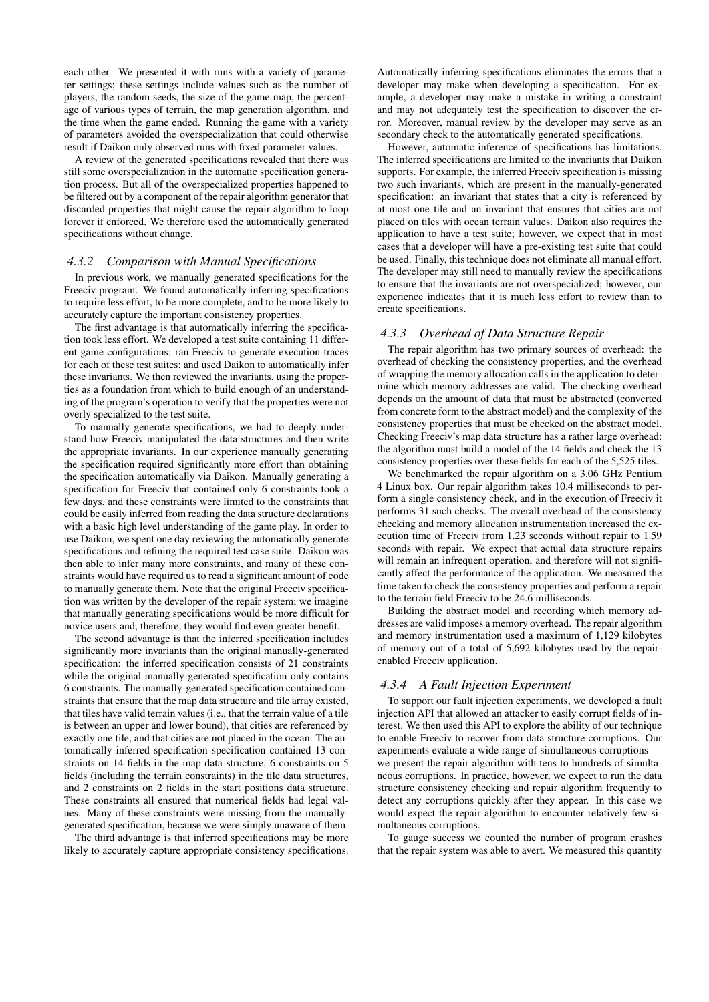each other. We presented it with runs with a variety of parameter settings; these settings include values such as the number of players, the random seeds, the size of the game map, the percentage of various types of terrain, the map generation algorithm, and the time when the game ended. Running the game with a variety of parameters avoided the overspecialization that could otherwise result if Daikon only observed runs with fixed parameter values.

A review of the generated specifications revealed that there was still some overspecialization in the automatic specification generation process. But all of the overspecialized properties happened to be filtered out by a component of the repair algorithm generator that discarded properties that might cause the repair algorithm to loop forever if enforced. We therefore used the automatically generated specifications without change.

#### *4.3.2 Comparison with Manual Specifications*

In previous work, we manually generated specifications for the Freeciv program. We found automatically inferring specifications to require less effort, to be more complete, and to be more likely to accurately capture the important consistency properties.

The first advantage is that automatically inferring the specification took less effort. We developed a test suite containing 11 different game configurations; ran Freeciv to generate execution traces for each of these test suites; and used Daikon to automatically infer these invariants. We then reviewed the invariants, using the properties as a foundation from which to build enough of an understanding of the program's operation to verify that the properties were not overly specialized to the test suite.

To manually generate specifications, we had to deeply understand how Freeciv manipulated the data structures and then write the appropriate invariants. In our experience manually generating the specification required significantly more effort than obtaining the specification automatically via Daikon. Manually generating a specification for Freeciv that contained only 6 constraints took a few days, and these constraints were limited to the constraints that could be easily inferred from reading the data structure declarations with a basic high level understanding of the game play. In order to use Daikon, we spent one day reviewing the automatically generate specifications and refining the required test case suite. Daikon was then able to infer many more constraints, and many of these constraints would have required us to read a significant amount of code to manually generate them. Note that the original Freeciv specification was written by the developer of the repair system; we imagine that manually generating specifications would be more difficult for novice users and, therefore, they would find even greater benefit.

The second advantage is that the inferred specification includes significantly more invariants than the original manually-generated specification: the inferred specification consists of 21 constraints while the original manually-generated specification only contains 6 constraints. The manually-generated specification contained constraints that ensure that the map data structure and tile array existed, that tiles have valid terrain values (i.e., that the terrain value of a tile is between an upper and lower bound), that cities are referenced by exactly one tile, and that cities are not placed in the ocean. The automatically inferred specification specification contained 13 constraints on 14 fields in the map data structure, 6 constraints on 5 fields (including the terrain constraints) in the tile data structures, and 2 constraints on 2 fields in the start positions data structure. These constraints all ensured that numerical fields had legal values. Many of these constraints were missing from the manuallygenerated specification, because we were simply unaware of them.

The third advantage is that inferred specifications may be more likely to accurately capture appropriate consistency specifications.

Automatically inferring specifications eliminates the errors that a developer may make when developing a specification. For example, a developer may make a mistake in writing a constraint and may not adequately test the specification to discover the error. Moreover, manual review by the developer may serve as an secondary check to the automatically generated specifications.

However, automatic inference of specifications has limitations. The inferred specifications are limited to the invariants that Daikon supports. For example, the inferred Freeciv specification is missing two such invariants, which are present in the manually-generated specification: an invariant that states that a city is referenced by at most one tile and an invariant that ensures that cities are not placed on tiles with ocean terrain values. Daikon also requires the application to have a test suite; however, we expect that in most cases that a developer will have a pre-existing test suite that could be used. Finally, this technique does not eliminate all manual effort. The developer may still need to manually review the specifications to ensure that the invariants are not overspecialized; however, our experience indicates that it is much less effort to review than to create specifications.

#### *4.3.3 Overhead of Data Structure Repair*

The repair algorithm has two primary sources of overhead: the overhead of checking the consistency properties, and the overhead of wrapping the memory allocation calls in the application to determine which memory addresses are valid. The checking overhead depends on the amount of data that must be abstracted (converted from concrete form to the abstract model) and the complexity of the consistency properties that must be checked on the abstract model. Checking Freeciv's map data structure has a rather large overhead: the algorithm must build a model of the 14 fields and check the 13 consistency properties over these fields for each of the 5,525 tiles.

We benchmarked the repair algorithm on a 3.06 GHz Pentium 4 Linux box. Our repair algorithm takes 10.4 milliseconds to perform a single consistency check, and in the execution of Freeciv it performs 31 such checks. The overall overhead of the consistency checking and memory allocation instrumentation increased the execution time of Freeciv from 1.23 seconds without repair to 1.59 seconds with repair. We expect that actual data structure repairs will remain an infrequent operation, and therefore will not significantly affect the performance of the application. We measured the time taken to check the consistency properties and perform a repair to the terrain field Freeciv to be 24.6 milliseconds.

Building the abstract model and recording which memory addresses are valid imposes a memory overhead. The repair algorithm and memory instrumentation used a maximum of 1,129 kilobytes of memory out of a total of 5,692 kilobytes used by the repairenabled Freeciv application.

#### *4.3.4 A Fault Injection Experiment*

To support our fault injection experiments, we developed a fault injection API that allowed an attacker to easily corrupt fields of interest. We then used this API to explore the ability of our technique to enable Freeciv to recover from data structure corruptions. Our experiments evaluate a wide range of simultaneous corruptions we present the repair algorithm with tens to hundreds of simultaneous corruptions. In practice, however, we expect to run the data structure consistency checking and repair algorithm frequently to detect any corruptions quickly after they appear. In this case we would expect the repair algorithm to encounter relatively few simultaneous corruptions.

To gauge success we counted the number of program crashes that the repair system was able to avert. We measured this quantity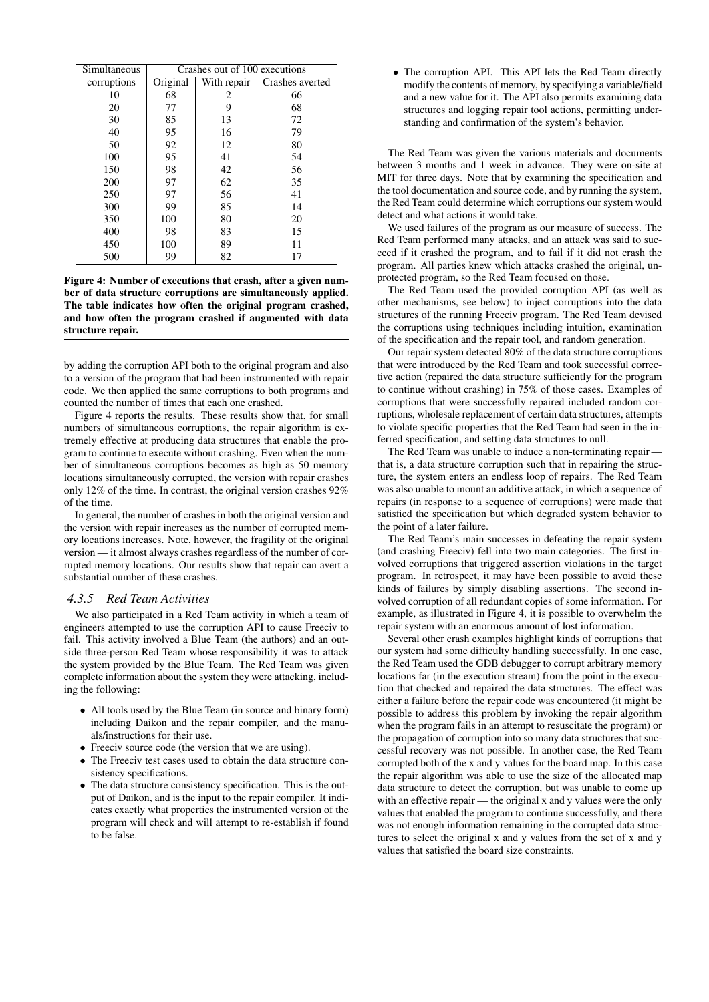| Simultaneous | Crashes out of 100 executions |             |                 |
|--------------|-------------------------------|-------------|-----------------|
| corruptions  | Original                      | With repair | Crashes averted |
| 10           | 68                            | 2           | 66              |
| 20           | 77                            | 9           | 68              |
| 30           | 85                            | 13          | 72              |
| 40           | 95                            | 16          | 79              |
| 50           | 92                            | 12          | 80              |
| 100          | 95                            | 41          | 54              |
| 150          | 98                            | 42          | 56              |
| 200          | 97                            | 62          | 35              |
| 250          | 97                            | 56          | 41              |
| 300          | 99                            | 85          | 14              |
| 350          | 100                           | 80          | 20              |
| 400          | 98                            | 83          | 15              |
| 450          | 100                           | 89          | 11              |
| 500          | 99                            | 82          | 17              |

Figure 4: Number of executions that crash, after a given number of data structure corruptions are simultaneously applied. The table indicates how often the original program crashed, and how often the program crashed if augmented with data structure repair.

by adding the corruption API both to the original program and also to a version of the program that had been instrumented with repair code. We then applied the same corruptions to both programs and counted the number of times that each one crashed.

Figure 4 reports the results. These results show that, for small numbers of simultaneous corruptions, the repair algorithm is extremely effective at producing data structures that enable the program to continue to execute without crashing. Even when the number of simultaneous corruptions becomes as high as 50 memory locations simultaneously corrupted, the version with repair crashes only 12% of the time. In contrast, the original version crashes 92% of the time.

In general, the number of crashes in both the original version and the version with repair increases as the number of corrupted memory locations increases. Note, however, the fragility of the original version — it almost always crashes regardless of the number of corrupted memory locations. Our results show that repair can avert a substantial number of these crashes.

#### *4.3.5 Red Team Activities*

We also participated in a Red Team activity in which a team of engineers attempted to use the corruption API to cause Freeciv to fail. This activity involved a Blue Team (the authors) and an outside three-person Red Team whose responsibility it was to attack the system provided by the Blue Team. The Red Team was given complete information about the system they were attacking, including the following:

- All tools used by the Blue Team (in source and binary form) including Daikon and the repair compiler, and the manuals/instructions for their use.
- Freeciv source code (the version that we are using).
- The Freeciv test cases used to obtain the data structure consistency specifications.
- The data structure consistency specification. This is the output of Daikon, and is the input to the repair compiler. It indicates exactly what properties the instrumented version of the program will check and will attempt to re-establish if found to be false.

• The corruption API. This API lets the Red Team directly modify the contents of memory, by specifying a variable/field and a new value for it. The API also permits examining data structures and logging repair tool actions, permitting understanding and confirmation of the system's behavior.

The Red Team was given the various materials and documents between 3 months and 1 week in advance. They were on-site at MIT for three days. Note that by examining the specification and the tool documentation and source code, and by running the system, the Red Team could determine which corruptions our system would detect and what actions it would take.

We used failures of the program as our measure of success. The Red Team performed many attacks, and an attack was said to succeed if it crashed the program, and to fail if it did not crash the program. All parties knew which attacks crashed the original, unprotected program, so the Red Team focused on those.

The Red Team used the provided corruption API (as well as other mechanisms, see below) to inject corruptions into the data structures of the running Freeciv program. The Red Team devised the corruptions using techniques including intuition, examination of the specification and the repair tool, and random generation.

Our repair system detected 80% of the data structure corruptions that were introduced by the Red Team and took successful corrective action (repaired the data structure sufficiently for the program to continue without crashing) in 75% of those cases. Examples of corruptions that were successfully repaired included random corruptions, wholesale replacement of certain data structures, attempts to violate specific properties that the Red Team had seen in the inferred specification, and setting data structures to null.

The Red Team was unable to induce a non-terminating repair that is, a data structure corruption such that in repairing the structure, the system enters an endless loop of repairs. The Red Team was also unable to mount an additive attack, in which a sequence of repairs (in response to a sequence of corruptions) were made that satisfied the specification but which degraded system behavior to the point of a later failure.

The Red Team's main successes in defeating the repair system (and crashing Freeciv) fell into two main categories. The first involved corruptions that triggered assertion violations in the target program. In retrospect, it may have been possible to avoid these kinds of failures by simply disabling assertions. The second involved corruption of all redundant copies of some information. For example, as illustrated in Figure 4, it is possible to overwhelm the repair system with an enormous amount of lost information.

Several other crash examples highlight kinds of corruptions that our system had some difficulty handling successfully. In one case, the Red Team used the GDB debugger to corrupt arbitrary memory locations far (in the execution stream) from the point in the execution that checked and repaired the data structures. The effect was either a failure before the repair code was encountered (it might be possible to address this problem by invoking the repair algorithm when the program fails in an attempt to resuscitate the program) or the propagation of corruption into so many data structures that successful recovery was not possible. In another case, the Red Team corrupted both of the x and y values for the board map. In this case the repair algorithm was able to use the size of the allocated map data structure to detect the corruption, but was unable to come up with an effective repair — the original x and y values were the only values that enabled the program to continue successfully, and there was not enough information remaining in the corrupted data structures to select the original x and y values from the set of x and y values that satisfied the board size constraints.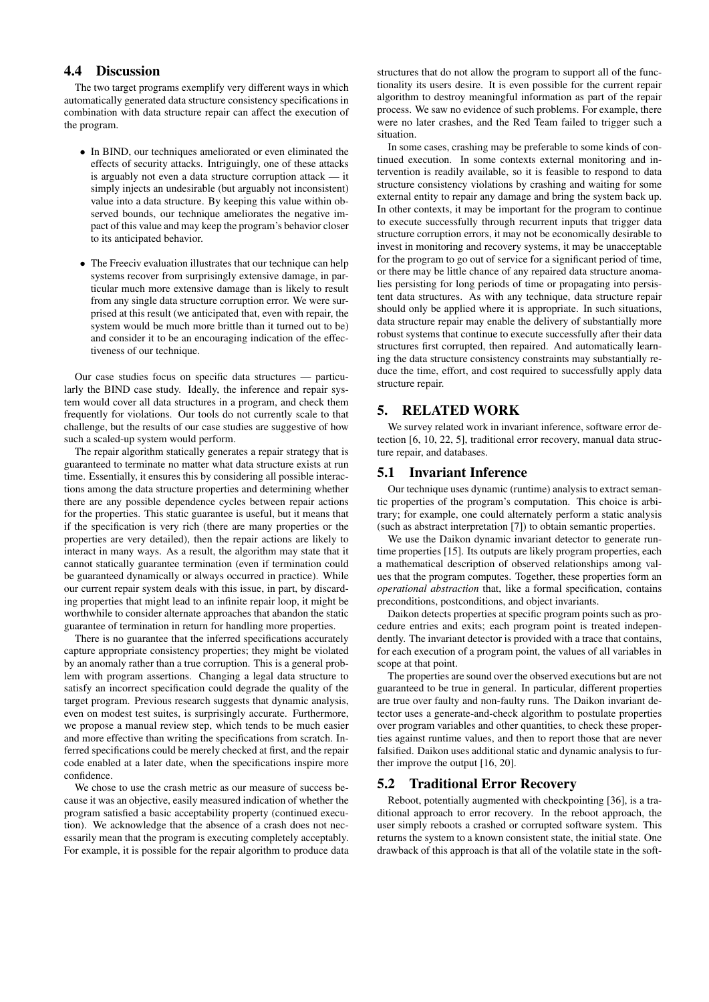## 4.4 Discussion

The two target programs exemplify very different ways in which automatically generated data structure consistency specifications in combination with data structure repair can affect the execution of the program.

- In BIND, our techniques ameliorated or even eliminated the effects of security attacks. Intriguingly, one of these attacks is arguably not even a data structure corruption attack — it simply injects an undesirable (but arguably not inconsistent) value into a data structure. By keeping this value within observed bounds, our technique ameliorates the negative impact of this value and may keep the program's behavior closer to its anticipated behavior.
- The Freeciv evaluation illustrates that our technique can help systems recover from surprisingly extensive damage, in particular much more extensive damage than is likely to result from any single data structure corruption error. We were surprised at this result (we anticipated that, even with repair, the system would be much more brittle than it turned out to be) and consider it to be an encouraging indication of the effectiveness of our technique.

Our case studies focus on specific data structures — particularly the BIND case study. Ideally, the inference and repair system would cover all data structures in a program, and check them frequently for violations. Our tools do not currently scale to that challenge, but the results of our case studies are suggestive of how such a scaled-up system would perform.

The repair algorithm statically generates a repair strategy that is guaranteed to terminate no matter what data structure exists at run time. Essentially, it ensures this by considering all possible interactions among the data structure properties and determining whether there are any possible dependence cycles between repair actions for the properties. This static guarantee is useful, but it means that if the specification is very rich (there are many properties or the properties are very detailed), then the repair actions are likely to interact in many ways. As a result, the algorithm may state that it cannot statically guarantee termination (even if termination could be guaranteed dynamically or always occurred in practice). While our current repair system deals with this issue, in part, by discarding properties that might lead to an infinite repair loop, it might be worthwhile to consider alternate approaches that abandon the static guarantee of termination in return for handling more properties.

There is no guarantee that the inferred specifications accurately capture appropriate consistency properties; they might be violated by an anomaly rather than a true corruption. This is a general problem with program assertions. Changing a legal data structure to satisfy an incorrect specification could degrade the quality of the target program. Previous research suggests that dynamic analysis, even on modest test suites, is surprisingly accurate. Furthermore, we propose a manual review step, which tends to be much easier and more effective than writing the specifications from scratch. Inferred specifications could be merely checked at first, and the repair code enabled at a later date, when the specifications inspire more confidence.

We chose to use the crash metric as our measure of success because it was an objective, easily measured indication of whether the program satisfied a basic acceptability property (continued execution). We acknowledge that the absence of a crash does not necessarily mean that the program is executing completely acceptably. For example, it is possible for the repair algorithm to produce data

structures that do not allow the program to support all of the functionality its users desire. It is even possible for the current repair algorithm to destroy meaningful information as part of the repair process. We saw no evidence of such problems. For example, there were no later crashes, and the Red Team failed to trigger such a situation.

In some cases, crashing may be preferable to some kinds of continued execution. In some contexts external monitoring and intervention is readily available, so it is feasible to respond to data structure consistency violations by crashing and waiting for some external entity to repair any damage and bring the system back up. In other contexts, it may be important for the program to continue to execute successfully through recurrent inputs that trigger data structure corruption errors, it may not be economically desirable to invest in monitoring and recovery systems, it may be unacceptable for the program to go out of service for a significant period of time, or there may be little chance of any repaired data structure anomalies persisting for long periods of time or propagating into persistent data structures. As with any technique, data structure repair should only be applied where it is appropriate. In such situations, data structure repair may enable the delivery of substantially more robust systems that continue to execute successfully after their data structures first corrupted, then repaired. And automatically learning the data structure consistency constraints may substantially reduce the time, effort, and cost required to successfully apply data structure repair.

## 5. RELATED WORK

We survey related work in invariant inference, software error detection [6, 10, 22, 5], traditional error recovery, manual data structure repair, and databases.

## 5.1 Invariant Inference

Our technique uses dynamic (runtime) analysis to extract semantic properties of the program's computation. This choice is arbitrary; for example, one could alternately perform a static analysis (such as abstract interpretation [7]) to obtain semantic properties.

We use the Daikon dynamic invariant detector to generate runtime properties [15]. Its outputs are likely program properties, each a mathematical description of observed relationships among values that the program computes. Together, these properties form an *operational abstraction* that, like a formal specification, contains preconditions, postconditions, and object invariants.

Daikon detects properties at specific program points such as procedure entries and exits; each program point is treated independently. The invariant detector is provided with a trace that contains, for each execution of a program point, the values of all variables in scope at that point.

The properties are sound over the observed executions but are not guaranteed to be true in general. In particular, different properties are true over faulty and non-faulty runs. The Daikon invariant detector uses a generate-and-check algorithm to postulate properties over program variables and other quantities, to check these properties against runtime values, and then to report those that are never falsified. Daikon uses additional static and dynamic analysis to further improve the output [16, 20].

# 5.2 Traditional Error Recovery

Reboot, potentially augmented with checkpointing [36], is a traditional approach to error recovery. In the reboot approach, the user simply reboots a crashed or corrupted software system. This returns the system to a known consistent state, the initial state. One drawback of this approach is that all of the volatile state in the soft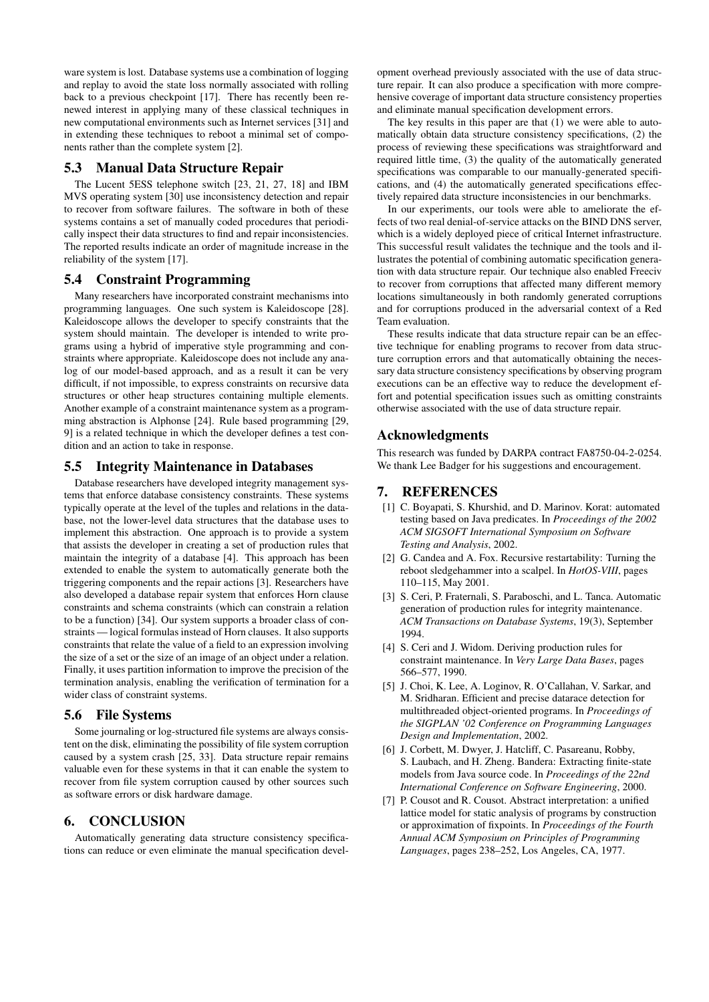ware system is lost. Database systems use a combination of logging and replay to avoid the state loss normally associated with rolling back to a previous checkpoint [17]. There has recently been renewed interest in applying many of these classical techniques in new computational environments such as Internet services [31] and in extending these techniques to reboot a minimal set of components rather than the complete system [2].

## 5.3 Manual Data Structure Repair

The Lucent 5ESS telephone switch [23, 21, 27, 18] and IBM MVS operating system [30] use inconsistency detection and repair to recover from software failures. The software in both of these systems contains a set of manually coded procedures that periodically inspect their data structures to find and repair inconsistencies. The reported results indicate an order of magnitude increase in the reliability of the system [17].

## 5.4 Constraint Programming

Many researchers have incorporated constraint mechanisms into programming languages. One such system is Kaleidoscope [28]. Kaleidoscope allows the developer to specify constraints that the system should maintain. The developer is intended to write programs using a hybrid of imperative style programming and constraints where appropriate. Kaleidoscope does not include any analog of our model-based approach, and as a result it can be very difficult, if not impossible, to express constraints on recursive data structures or other heap structures containing multiple elements. Another example of a constraint maintenance system as a programming abstraction is Alphonse [24]. Rule based programming [29, 9] is a related technique in which the developer defines a test condition and an action to take in response.

#### 5.5 Integrity Maintenance in Databases

Database researchers have developed integrity management systems that enforce database consistency constraints. These systems typically operate at the level of the tuples and relations in the database, not the lower-level data structures that the database uses to implement this abstraction. One approach is to provide a system that assists the developer in creating a set of production rules that maintain the integrity of a database [4]. This approach has been extended to enable the system to automatically generate both the triggering components and the repair actions [3]. Researchers have also developed a database repair system that enforces Horn clause constraints and schema constraints (which can constrain a relation to be a function) [34]. Our system supports a broader class of constraints — logical formulas instead of Horn clauses. It also supports constraints that relate the value of a field to an expression involving the size of a set or the size of an image of an object under a relation. Finally, it uses partition information to improve the precision of the termination analysis, enabling the verification of termination for a wider class of constraint systems.

#### 5.6 File Systems

Some journaling or log-structured file systems are always consistent on the disk, eliminating the possibility of file system corruption caused by a system crash [25, 33]. Data structure repair remains valuable even for these systems in that it can enable the system to recover from file system corruption caused by other sources such as software errors or disk hardware damage.

## 6. CONCLUSION

Automatically generating data structure consistency specifications can reduce or even eliminate the manual specification devel-

opment overhead previously associated with the use of data structure repair. It can also produce a specification with more comprehensive coverage of important data structure consistency properties and eliminate manual specification development errors.

The key results in this paper are that (1) we were able to automatically obtain data structure consistency specifications, (2) the process of reviewing these specifications was straightforward and required little time, (3) the quality of the automatically generated specifications was comparable to our manually-generated specifications, and (4) the automatically generated specifications effectively repaired data structure inconsistencies in our benchmarks.

In our experiments, our tools were able to ameliorate the effects of two real denial-of-service attacks on the BIND DNS server, which is a widely deployed piece of critical Internet infrastructure. This successful result validates the technique and the tools and illustrates the potential of combining automatic specification generation with data structure repair. Our technique also enabled Freeciv to recover from corruptions that affected many different memory locations simultaneously in both randomly generated corruptions and for corruptions produced in the adversarial context of a Red Team evaluation.

These results indicate that data structure repair can be an effective technique for enabling programs to recover from data structure corruption errors and that automatically obtaining the necessary data structure consistency specifications by observing program executions can be an effective way to reduce the development effort and potential specification issues such as omitting constraints otherwise associated with the use of data structure repair.

## Acknowledgments

This research was funded by DARPA contract FA8750-04-2-0254. We thank Lee Badger for his suggestions and encouragement.

# 7. REFERENCES

- [1] C. Boyapati, S. Khurshid, and D. Marinov. Korat: automated testing based on Java predicates. In *Proceedings of the 2002 ACM SIGSOFT International Symposium on Software Testing and Analysis*, 2002.
- [2] G. Candea and A. Fox. Recursive restartability: Turning the reboot sledgehammer into a scalpel. In *HotOS-VIII*, pages 110–115, May 2001.
- [3] S. Ceri, P. Fraternali, S. Paraboschi, and L. Tanca. Automatic generation of production rules for integrity maintenance. *ACM Transactions on Database Systems*, 19(3), September 1994.
- [4] S. Ceri and J. Widom. Deriving production rules for constraint maintenance. In *Very Large Data Bases*, pages 566–577, 1990.
- [5] J. Choi, K. Lee, A. Loginov, R. O'Callahan, V. Sarkar, and M. Sridharan. Efficient and precise datarace detection for multithreaded object-oriented programs. In *Proceedings of the SIGPLAN '02 Conference on Programming Languages Design and Implementation*, 2002.
- [6] J. Corbett, M. Dwyer, J. Hatcliff, C. Pasareanu, Robby, S. Laubach, and H. Zheng. Bandera: Extracting finite-state models from Java source code. In *Proceedings of the 22nd International Conference on Software Engineering*, 2000.
- [7] P. Cousot and R. Cousot. Abstract interpretation: a unified lattice model for static analysis of programs by construction or approximation of fixpoints. In *Proceedings of the Fourth Annual ACM Symposium on Principles of Programming Languages*, pages 238–252, Los Angeles, CA, 1977.